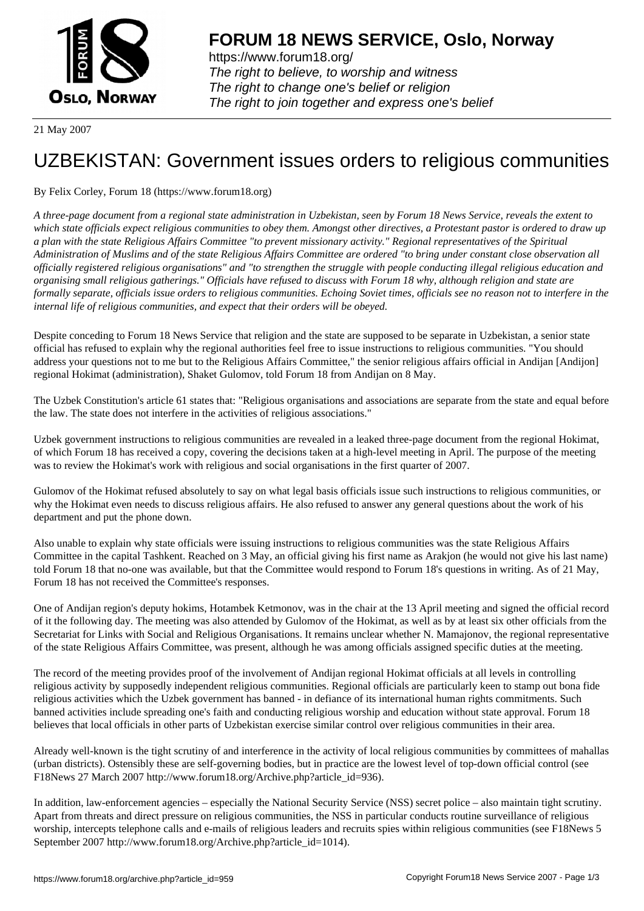

https://www.forum18.org/ The right to believe, to worship and witness The right to change one's belief or religion [The right to join together a](https://www.forum18.org/)nd express one's belief

21 May 2007

## [UZBEKISTAN:](https://www.forum18.org) Government issues orders to religious communities

## By Felix Corley, Forum 18 (https://www.forum18.org)

*A three-page document from a regional state administration in Uzbekistan, seen by Forum 18 News Service, reveals the extent to which state officials expect religious communities to obey them. Amongst other directives, a Protestant pastor is ordered to draw up a plan with the state Religious Affairs Committee "to prevent missionary activity." Regional representatives of the Spiritual Administration of Muslims and of the state Religious Affairs Committee are ordered "to bring under constant close observation all officially registered religious organisations" and "to strengthen the struggle with people conducting illegal religious education and organising small religious gatherings." Officials have refused to discuss with Forum 18 why, although religion and state are formally separate, officials issue orders to religious communities. Echoing Soviet times, officials see no reason not to interfere in the internal life of religious communities, and expect that their orders will be obeyed.*

Despite conceding to Forum 18 News Service that religion and the state are supposed to be separate in Uzbekistan, a senior state official has refused to explain why the regional authorities feel free to issue instructions to religious communities. "You should address your questions not to me but to the Religious Affairs Committee," the senior religious affairs official in Andijan [Andijon] regional Hokimat (administration), Shaket Gulomov, told Forum 18 from Andijan on 8 May.

The Uzbek Constitution's article 61 states that: "Religious organisations and associations are separate from the state and equal before the law. The state does not interfere in the activities of religious associations."

Uzbek government instructions to religious communities are revealed in a leaked three-page document from the regional Hokimat, of which Forum 18 has received a copy, covering the decisions taken at a high-level meeting in April. The purpose of the meeting was to review the Hokimat's work with religious and social organisations in the first quarter of 2007.

Gulomov of the Hokimat refused absolutely to say on what legal basis officials issue such instructions to religious communities, or why the Hokimat even needs to discuss religious affairs. He also refused to answer any general questions about the work of his department and put the phone down.

Also unable to explain why state officials were issuing instructions to religious communities was the state Religious Affairs Committee in the capital Tashkent. Reached on 3 May, an official giving his first name as Arakjon (he would not give his last name) told Forum 18 that no-one was available, but that the Committee would respond to Forum 18's questions in writing. As of 21 May, Forum 18 has not received the Committee's responses.

One of Andijan region's deputy hokims, Hotambek Ketmonov, was in the chair at the 13 April meeting and signed the official record of it the following day. The meeting was also attended by Gulomov of the Hokimat, as well as by at least six other officials from the Secretariat for Links with Social and Religious Organisations. It remains unclear whether N. Mamajonov, the regional representative of the state Religious Affairs Committee, was present, although he was among officials assigned specific duties at the meeting.

The record of the meeting provides proof of the involvement of Andijan regional Hokimat officials at all levels in controlling religious activity by supposedly independent religious communities. Regional officials are particularly keen to stamp out bona fide religious activities which the Uzbek government has banned - in defiance of its international human rights commitments. Such banned activities include spreading one's faith and conducting religious worship and education without state approval. Forum 18 believes that local officials in other parts of Uzbekistan exercise similar control over religious communities in their area.

Already well-known is the tight scrutiny of and interference in the activity of local religious communities by committees of mahallas (urban districts). Ostensibly these are self-governing bodies, but in practice are the lowest level of top-down official control (see F18News 27 March 2007 http://www.forum18.org/Archive.php?article\_id=936).

In addition, law-enforcement agencies – especially the National Security Service (NSS) secret police – also maintain tight scrutiny. Apart from threats and direct pressure on religious communities, the NSS in particular conducts routine surveillance of religious worship, intercepts telephone calls and e-mails of religious leaders and recruits spies within religious communities (see F18News 5) September 2007 http://www.forum18.org/Archive.php?article\_id=1014).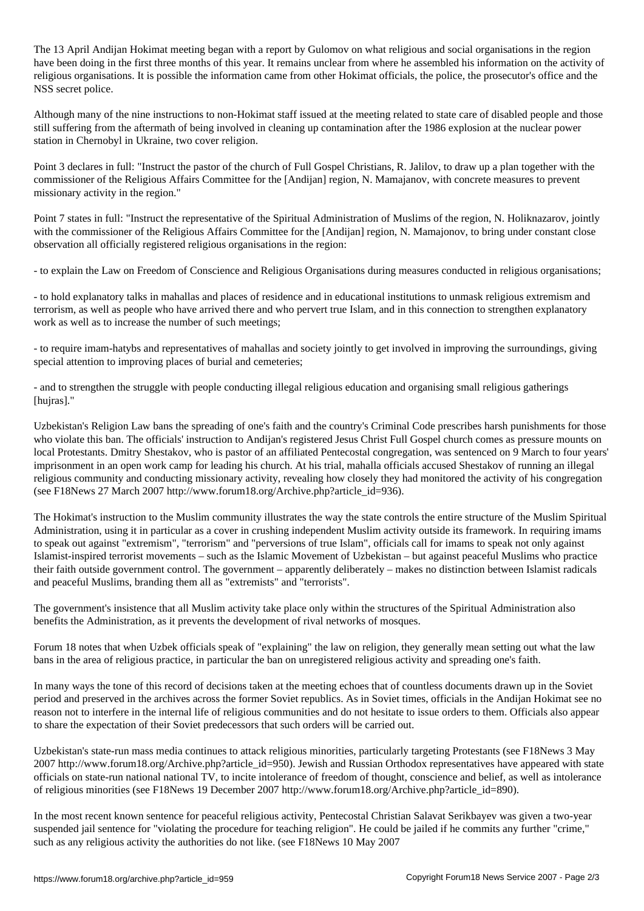The 13 April Andijan Hokimat meeting began with a report by Gulomov on what religious and social organisations in the region have been doing in the first three months of this year. It remains unclear from where he assembled his information on the activity of religious organisations. It is possible the information came from other Hokimat officials, the police, the prosecutor's office and the NSS secret police.

Although many of the nine instructions to non-Hokimat staff issued at the meeting related to state care of disabled people and those still suffering from the aftermath of being involved in cleaning up contamination after the 1986 explosion at the nuclear power station in Chernobyl in Ukraine, two cover religion.

Point 3 declares in full: "Instruct the pastor of the church of Full Gospel Christians, R. Jalilov, to draw up a plan together with the commissioner of the Religious Affairs Committee for the [Andijan] region, N. Mamajanov, with concrete measures to prevent missionary activity in the region."

Point 7 states in full: "Instruct the representative of the Spiritual Administration of Muslims of the region, N. Holiknazarov, jointly with the commissioner of the Religious Affairs Committee for the [Andijan] region, N. Mamajonov, to bring under constant close observation all officially registered religious organisations in the region:

- to explain the Law on Freedom of Conscience and Religious Organisations during measures conducted in religious organisations;

- to hold explanatory talks in mahallas and places of residence and in educational institutions to unmask religious extremism and terrorism, as well as people who have arrived there and who pervert true Islam, and in this connection to strengthen explanatory work as well as to increase the number of such meetings;

- to require imam-hatybs and representatives of mahallas and society jointly to get involved in improving the surroundings, giving special attention to improving places of burial and cemeteries;

- and to strengthen the struggle with people conducting illegal religious education and organising small religious gatherings [hujras]."

Uzbekistan's Religion Law bans the spreading of one's faith and the country's Criminal Code prescribes harsh punishments for those who violate this ban. The officials' instruction to Andijan's registered Jesus Christ Full Gospel church comes as pressure mounts on local Protestants. Dmitry Shestakov, who is pastor of an affiliated Pentecostal congregation, was sentenced on 9 March to four years' imprisonment in an open work camp for leading his church. At his trial, mahalla officials accused Shestakov of running an illegal religious community and conducting missionary activity, revealing how closely they had monitored the activity of his congregation (see F18News 27 March 2007 http://www.forum18.org/Archive.php?article\_id=936).

The Hokimat's instruction to the Muslim community illustrates the way the state controls the entire structure of the Muslim Spiritual Administration, using it in particular as a cover in crushing independent Muslim activity outside its framework. In requiring imams to speak out against "extremism", "terrorism" and "perversions of true Islam", officials call for imams to speak not only against Islamist-inspired terrorist movements – such as the Islamic Movement of Uzbekistan – but against peaceful Muslims who practice their faith outside government control. The government – apparently deliberately – makes no distinction between Islamist radicals and peaceful Muslims, branding them all as "extremists" and "terrorists".

The government's insistence that all Muslim activity take place only within the structures of the Spiritual Administration also benefits the Administration, as it prevents the development of rival networks of mosques.

Forum 18 notes that when Uzbek officials speak of "explaining" the law on religion, they generally mean setting out what the law bans in the area of religious practice, in particular the ban on unregistered religious activity and spreading one's faith.

In many ways the tone of this record of decisions taken at the meeting echoes that of countless documents drawn up in the Soviet period and preserved in the archives across the former Soviet republics. As in Soviet times, officials in the Andijan Hokimat see no reason not to interfere in the internal life of religious communities and do not hesitate to issue orders to them. Officials also appear to share the expectation of their Soviet predecessors that such orders will be carried out.

Uzbekistan's state-run mass media continues to attack religious minorities, particularly targeting Protestants (see F18News 3 May 2007 http://www.forum18.org/Archive.php?article\_id=950). Jewish and Russian Orthodox representatives have appeared with state officials on state-run national national TV, to incite intolerance of freedom of thought, conscience and belief, as well as intolerance of religious minorities (see F18News 19 December 2007 http://www.forum18.org/Archive.php?article\_id=890).

In the most recent known sentence for peaceful religious activity, Pentecostal Christian Salavat Serikbayev was given a two-year suspended jail sentence for "violating the procedure for teaching religion". He could be jailed if he commits any further "crime," such as any religious activity the authorities do not like. (see F18News 10 May 2007